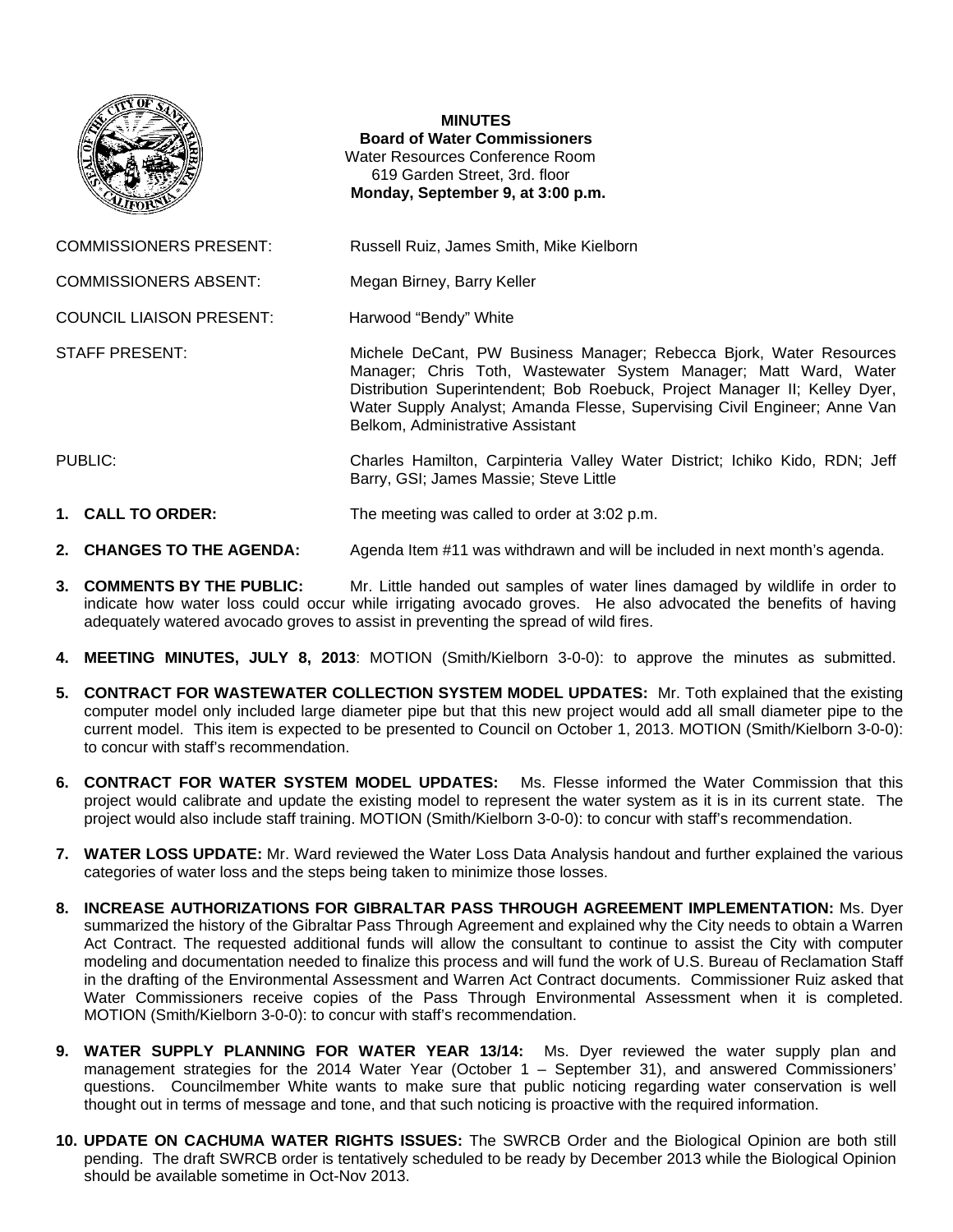

## **MINUTES**

**Board of Water Commissioners**  Water Resources Conference Room 619 Garden Street, 3rd. floor  **Monday, September 9, at 3:00 p.m.** 

COMMISSIONERS PRESENT: Russell Ruiz, James Smith, Mike Kielborn

COMMISSIONERS ABSENT: Megan Birney, Barry Keller

COUNCIL LIAISON PRESENT: Harwood "Bendy" White

STAFF PRESENT: Michele DeCant, PW Business Manager; Rebecca Bjork, Water Resources Manager; Chris Toth, Wastewater System Manager; Matt Ward, Water Distribution Superintendent; Bob Roebuck, Project Manager II; Kelley Dyer, Water Supply Analyst; Amanda Flesse, Supervising Civil Engineer; Anne Van Belkom, Administrative Assistant

PUBLIC: Charles Hamilton, Carpinteria Valley Water District; Ichiko Kido, RDN; Jeff Barry, GSI; James Massie; Steve Little

**1. CALL TO ORDER:** The meeting was called to order at 3:02 p.m.

- **2. CHANGES TO THE AGENDA:** Agenda Item #11 was withdrawn and will be included in next month's agenda.
- **3. COMMENTS BY THE PUBLIC:** Mr. Little handed out samples of water lines damaged by wildlife in order to indicate how water loss could occur while irrigating avocado groves. He also advocated the benefits of having adequately watered avocado groves to assist in preventing the spread of wild fires.
- **4. MEETING MINUTES, JULY 8, 2013**: MOTION (Smith/Kielborn 3-0-0): to approve the minutes as submitted.
- **5. CONTRACT FOR WASTEWATER COLLECTION SYSTEM MODEL UPDATES:** Mr. Toth explained that the existing computer model only included large diameter pipe but that this new project would add all small diameter pipe to the current model. This item is expected to be presented to Council on October 1, 2013. MOTION (Smith/Kielborn 3-0-0): to concur with staff's recommendation.
- **6. CONTRACT FOR WATER SYSTEM MODEL UPDATES:** Ms. Flesse informed the Water Commission that this project would calibrate and update the existing model to represent the water system as it is in its current state. The project would also include staff training. MOTION (Smith/Kielborn 3-0-0): to concur with staff's recommendation.
- **7. WATER LOSS UPDATE:** Mr. Ward reviewed the Water Loss Data Analysis handout and further explained the various categories of water loss and the steps being taken to minimize those losses.
- **8. INCREASE AUTHORIZATIONS FOR GIBRALTAR PASS THROUGH AGREEMENT IMPLEMENTATION:** Ms. Dyer summarized the history of the Gibraltar Pass Through Agreement and explained why the City needs to obtain a Warren Act Contract. The requested additional funds will allow the consultant to continue to assist the City with computer modeling and documentation needed to finalize this process and will fund the work of U.S. Bureau of Reclamation Staff in the drafting of the Environmental Assessment and Warren Act Contract documents. Commissioner Ruiz asked that Water Commissioners receive copies of the Pass Through Environmental Assessment when it is completed. MOTION (Smith/Kielborn 3-0-0): to concur with staff's recommendation.
- **9. WATER SUPPLY PLANNING FOR WATER YEAR 13/14:** Ms. Dyer reviewed the water supply plan and management strategies for the 2014 Water Year (October 1 – September 31), and answered Commissioners' questions. Councilmember White wants to make sure that public noticing regarding water conservation is well thought out in terms of message and tone, and that such noticing is proactive with the required information.
- **10. UPDATE ON CACHUMA WATER RIGHTS ISSUES:** The SWRCB Order and the Biological Opinion are both still pending. The draft SWRCB order is tentatively scheduled to be ready by December 2013 while the Biological Opinion should be available sometime in Oct-Nov 2013.